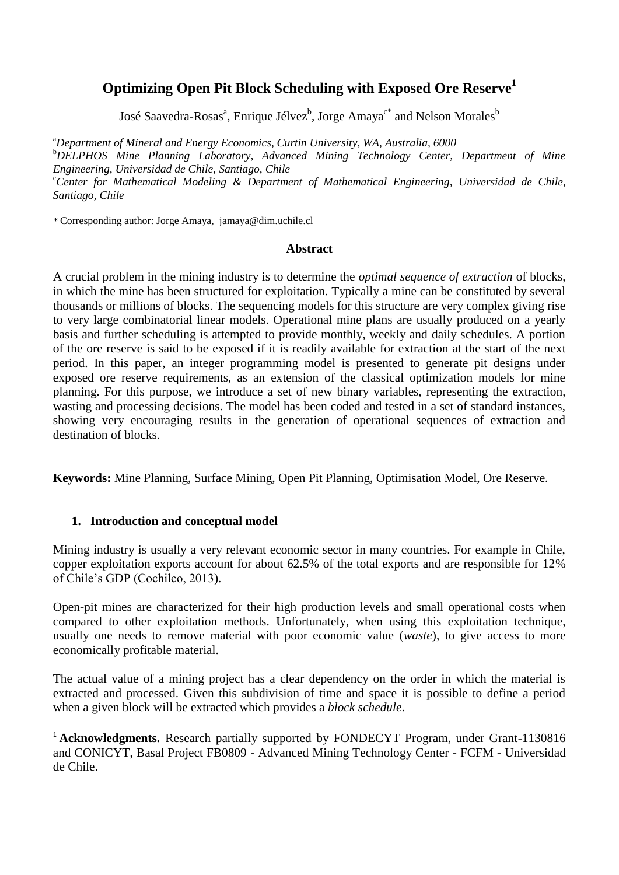# **Optimizing Open Pit Block Scheduling with Exposed Ore Reserve<sup>1</sup>**

José Saavedra-Rosas<sup>a</sup>, Enrique Jélvez<sup>b</sup>, Jorge Amaya<sup>c\*</sup> and Nelson Morales<sup>b</sup>

<sup>a</sup>*Department of Mineral and Energy Economics, Curtin University, WA, Australia, 6000* <sup>b</sup>*DELPHOS Mine Planning Laboratory, Advanced Mining Technology Center, Department of Mine Engineering, Universidad de Chile, Santiago, Chile* <sup>c</sup>*Center for Mathematical Modeling & Department of Mathematical Engineering, Universidad de Chile, Santiago, Chile*

*\** Corresponding author: Jorge Amaya, jamaya@dim.uchile.cl

#### **Abstract**

A crucial problem in the mining industry is to determine the *optimal sequence of extraction* of blocks, in which the mine has been structured for exploitation. Typically a mine can be constituted by several thousands or millions of blocks. The sequencing models for this structure are very complex giving rise to very large combinatorial linear models. Operational mine plans are usually produced on a yearly basis and further scheduling is attempted to provide monthly, weekly and daily schedules. A portion of the ore reserve is said to be exposed if it is readily available for extraction at the start of the next period. In this paper, an integer programming model is presented to generate pit designs under exposed ore reserve requirements, as an extension of the classical optimization models for mine planning. For this purpose, we introduce a set of new binary variables, representing the extraction, wasting and processing decisions. The model has been coded and tested in a set of standard instances, showing very encouraging results in the generation of operational sequences of extraction and destination of blocks.

**Keywords:** Mine Planning, Surface Mining, Open Pit Planning, Optimisation Model, Ore Reserve.

# **1. Introduction and conceptual model**

**.** 

Mining industry is usually a very relevant economic sector in many countries. For example in Chile, copper exploitation exports account for about 62.5% of the total exports and are responsible for 12% of Chile's GDP (Cochilco, 2013).

Open-pit mines are characterized for their high production levels and small operational costs when compared to other exploitation methods. Unfortunately, when using this exploitation technique, usually one needs to remove material with poor economic value (*waste*), to give access to more economically profitable material.

The actual value of a mining project has a clear dependency on the order in which the material is extracted and processed. Given this subdivision of time and space it is possible to define a period when a given block will be extracted which provides a *block schedule*.

<sup>&</sup>lt;sup>1</sup> **Acknowledgments.** Research partially supported by FONDECYT Program, under Grant-1130816 and CONICYT, Basal Project FB0809 - Advanced Mining Technology Center - FCFM - Universidad de Chile.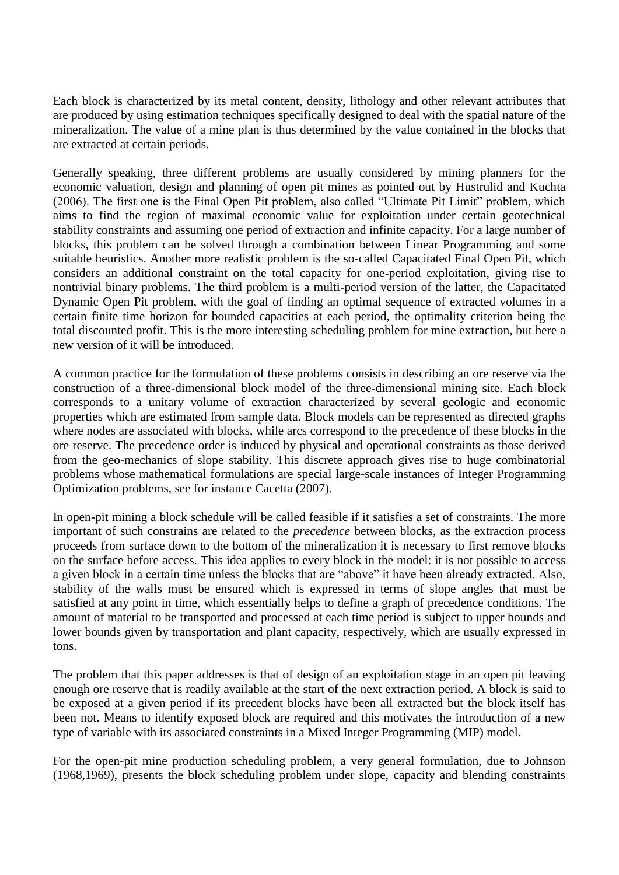Each block is characterized by its metal content, density, lithology and other relevant attributes that are produced by using estimation techniques specifically designed to deal with the spatial nature of the mineralization. The value of a mine plan is thus determined by the value contained in the blocks that are extracted at certain periods.

Generally speaking, three different problems are usually considered by mining planners for the economic valuation, design and planning of open pit mines as pointed out by Hustrulid and Kuchta (2006). The first one is the Final Open Pit problem, also called "Ultimate Pit Limit" problem, which aims to find the region of maximal economic value for exploitation under certain geotechnical stability constraints and assuming one period of extraction and infinite capacity. For a large number of blocks, this problem can be solved through a combination between Linear Programming and some suitable heuristics. Another more realistic problem is the so-called Capacitated Final Open Pit, which considers an additional constraint on the total capacity for one-period exploitation, giving rise to nontrivial binary problems. The third problem is a multi-period version of the latter, the Capacitated Dynamic Open Pit problem, with the goal of finding an optimal sequence of extracted volumes in a certain finite time horizon for bounded capacities at each period, the optimality criterion being the total discounted profit. This is the more interesting scheduling problem for mine extraction, but here a new version of it will be introduced.

A common practice for the formulation of these problems consists in describing an ore reserve via the construction of a three-dimensional block model of the three-dimensional mining site. Each block corresponds to a unitary volume of extraction characterized by several geologic and economic properties which are estimated from sample data. Block models can be represented as directed graphs where nodes are associated with blocks, while arcs correspond to the precedence of these blocks in the ore reserve. The precedence order is induced by physical and operational constraints as those derived from the geo-mechanics of slope stability. This discrete approach gives rise to huge combinatorial problems whose mathematical formulations are special large-scale instances of Integer Programming Optimization problems, see for instance Cacetta (2007).

In open-pit mining a block schedule will be called feasible if it satisfies a set of constraints. The more important of such constrains are related to the *precedence* between blocks, as the extraction process proceeds from surface down to the bottom of the mineralization it is necessary to first remove blocks on the surface before access. This idea applies to every block in the model: it is not possible to access a given block in a certain time unless the blocks that are "above" it have been already extracted. Also, stability of the walls must be ensured which is expressed in terms of slope angles that must be satisfied at any point in time, which essentially helps to define a graph of precedence conditions. The amount of material to be transported and processed at each time period is subject to upper bounds and lower bounds given by transportation and plant capacity, respectively, which are usually expressed in tons.

The problem that this paper addresses is that of design of an exploitation stage in an open pit leaving enough ore reserve that is readily available at the start of the next extraction period. A block is said to be exposed at a given period if its precedent blocks have been all extracted but the block itself has been not. Means to identify exposed block are required and this motivates the introduction of a new type of variable with its associated constraints in a Mixed Integer Programming (MIP) model.

For the open-pit mine production scheduling problem, a very general formulation, due to Johnson (1968,1969), presents the block scheduling problem under slope, capacity and blending constraints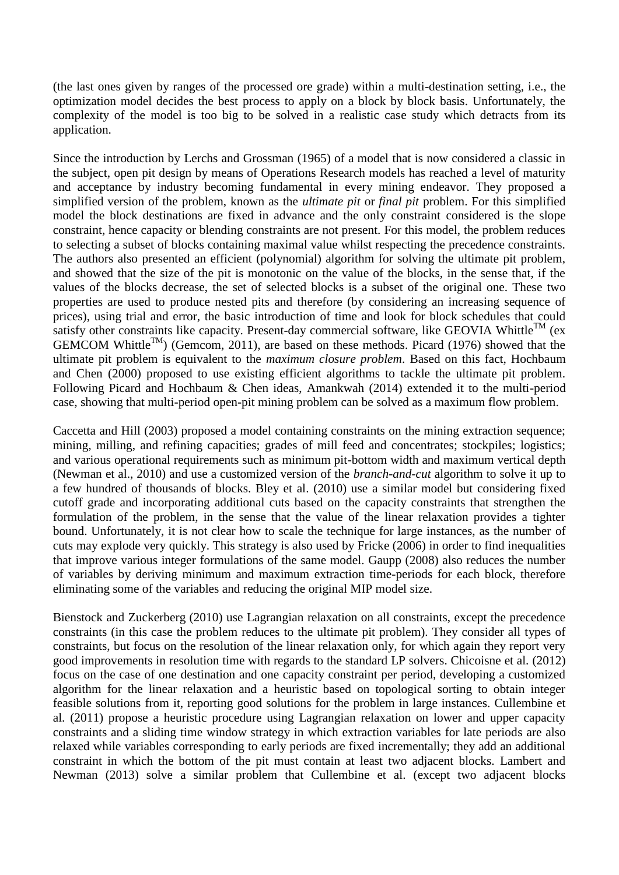(the last ones given by ranges of the processed ore grade) within a multi-destination setting, i.e., the optimization model decides the best process to apply on a block by block basis. Unfortunately, the complexity of the model is too big to be solved in a realistic case study which detracts from its application.

Since the introduction by Lerchs and Grossman (1965) of a model that is now considered a classic in the subject, open pit design by means of Operations Research models has reached a level of maturity and acceptance by industry becoming fundamental in every mining endeavor. They proposed a simplified version of the problem, known as the *ultimate pit* or *final pit* problem. For this simplified model the block destinations are fixed in advance and the only constraint considered is the slope constraint, hence capacity or blending constraints are not present. For this model, the problem reduces to selecting a subset of blocks containing maximal value whilst respecting the precedence constraints. The authors also presented an efficient (polynomial) algorithm for solving the ultimate pit problem, and showed that the size of the pit is monotonic on the value of the blocks, in the sense that, if the values of the blocks decrease, the set of selected blocks is a subset of the original one. These two properties are used to produce nested pits and therefore (by considering an increasing sequence of prices), using trial and error, the basic introduction of time and look for block schedules that could satisfy other constraints like capacity. Present-day commercial software, like GEOVIA Whittle<sup>TM</sup> (ex GEMCOM Whittle<sup>TM</sup>) (Gemcom, 2011), are based on these methods. Picard (1976) showed that the ultimate pit problem is equivalent to the *maximum closure problem*. Based on this fact, Hochbaum and Chen (2000) proposed to use existing efficient algorithms to tackle the ultimate pit problem. Following Picard and Hochbaum & Chen ideas, Amankwah (2014) extended it to the multi-period case, showing that multi-period open-pit mining problem can be solved as a maximum flow problem.

Caccetta and Hill (2003) proposed a model containing constraints on the mining extraction sequence; mining, milling, and refining capacities; grades of mill feed and concentrates; stockpiles; logistics; and various operational requirements such as minimum pit-bottom width and maximum vertical depth (Newman et al., 2010) and use a customized version of the *branch-and-cut* algorithm to solve it up to a few hundred of thousands of blocks. Bley et al. (2010) use a similar model but considering fixed cutoff grade and incorporating additional cuts based on the capacity constraints that strengthen the formulation of the problem, in the sense that the value of the linear relaxation provides a tighter bound. Unfortunately, it is not clear how to scale the technique for large instances, as the number of cuts may explode very quickly. This strategy is also used by Fricke (2006) in order to find inequalities that improve various integer formulations of the same model. Gaupp (2008) also reduces the number of variables by deriving minimum and maximum extraction time-periods for each block, therefore eliminating some of the variables and reducing the original MIP model size.

Bienstock and Zuckerberg (2010) use Lagrangian relaxation on all constraints, except the precedence constraints (in this case the problem reduces to the ultimate pit problem). They consider all types of constraints, but focus on the resolution of the linear relaxation only, for which again they report very good improvements in resolution time with regards to the standard LP solvers. Chicoisne et al. (2012) focus on the case of one destination and one capacity constraint per period, developing a customized algorithm for the linear relaxation and a heuristic based on topological sorting to obtain integer feasible solutions from it, reporting good solutions for the problem in large instances. Cullembine et al. (2011) propose a heuristic procedure using Lagrangian relaxation on lower and upper capacity constraints and a sliding time window strategy in which extraction variables for late periods are also relaxed while variables corresponding to early periods are fixed incrementally; they add an additional constraint in which the bottom of the pit must contain at least two adjacent blocks. Lambert and Newman (2013) solve a similar problem that Cullembine et al. (except two adjacent blocks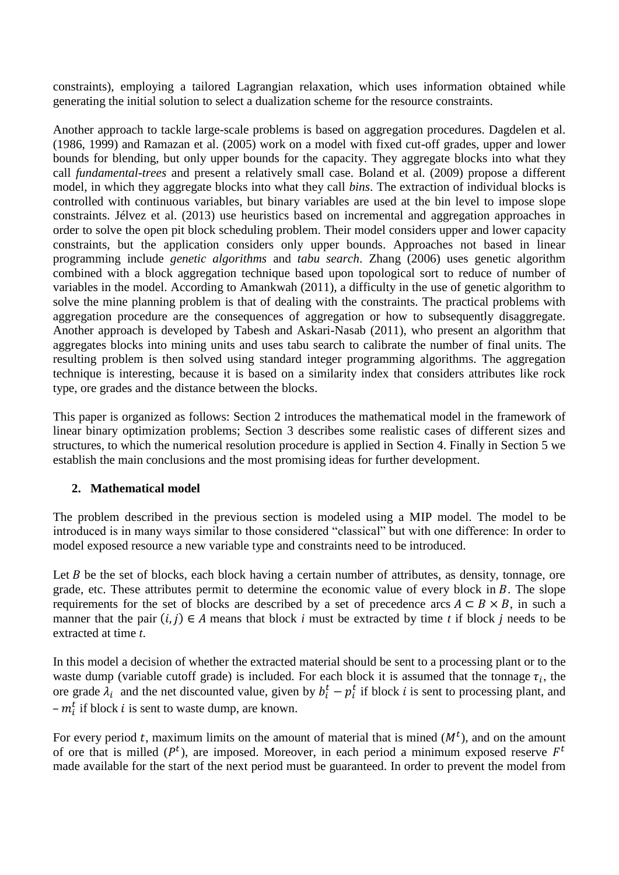constraints), employing a tailored Lagrangian relaxation, which uses information obtained while generating the initial solution to select a dualization scheme for the resource constraints.

Another approach to tackle large-scale problems is based on aggregation procedures. Dagdelen et al. (1986, 1999) and Ramazan et al. (2005) work on a model with fixed cut-off grades, upper and lower bounds for blending, but only upper bounds for the capacity. They aggregate blocks into what they call *fundamental-trees* and present a relatively small case. Boland et al. (2009) propose a different model, in which they aggregate blocks into what they call *bins*. The extraction of individual blocks is controlled with continuous variables, but binary variables are used at the bin level to impose slope constraints. Jélvez et al. (2013) use heuristics based on incremental and aggregation approaches in order to solve the open pit block scheduling problem. Their model considers upper and lower capacity constraints, but the application considers only upper bounds. Approaches not based in linear programming include *genetic algorithms* and *tabu search*. Zhang (2006) uses genetic algorithm combined with a block aggregation technique based upon topological sort to reduce of number of variables in the model. According to Amankwah (2011), a difficulty in the use of genetic algorithm to solve the mine planning problem is that of dealing with the constraints. The practical problems with aggregation procedure are the consequences of aggregation or how to subsequently disaggregate. Another approach is developed by Tabesh and Askari-Nasab (2011), who present an algorithm that aggregates blocks into mining units and uses tabu search to calibrate the number of final units. The resulting problem is then solved using standard integer programming algorithms. The aggregation technique is interesting, because it is based on a similarity index that considers attributes like rock type, ore grades and the distance between the blocks.

This paper is organized as follows: Section 2 introduces the mathematical model in the framework of linear binary optimization problems; Section 3 describes some realistic cases of different sizes and structures, to which the numerical resolution procedure is applied in Section 4. Finally in Section 5 we establish the main conclusions and the most promising ideas for further development.

# **2. Mathematical model**

The problem described in the previous section is modeled using a MIP model. The model to be introduced is in many ways similar to those considered "classical" but with one difference: In order to model exposed resource a new variable type and constraints need to be introduced.

Let  $B$  be the set of blocks, each block having a certain number of attributes, as density, tonnage, ore grade, etc. These attributes permit to determine the economic value of every block in  $B$ . The slope requirements for the set of blocks are described by a set of precedence arcs  $A \subseteq B \times B$ , in such a manner that the pair  $(i, j) \in A$  means that block *i* must be extracted by time *t* if block *j* needs to be extracted at time *t*.

In this model a decision of whether the extracted material should be sent to a processing plant or to the waste dump (variable cutoff grade) is included. For each block it is assumed that the tonnage  $\tau_i$ , the ore grade  $\lambda_i$  and the net discounted value, given by  $b_i^t - p_i^t$  if block *i* is sent to processing plant, and  $-m_i^t$  if block *i* is sent to waste dump, are known.

For every period t, maximum limits on the amount of material that is mined  $(M<sup>t</sup>)$ , and on the amount of ore that is milled ( $P<sup>t</sup>$ ), are imposed. Moreover, in each period a minimum exposed reserve  $F<sup>t</sup>$ made available for the start of the next period must be guaranteed. In order to prevent the model from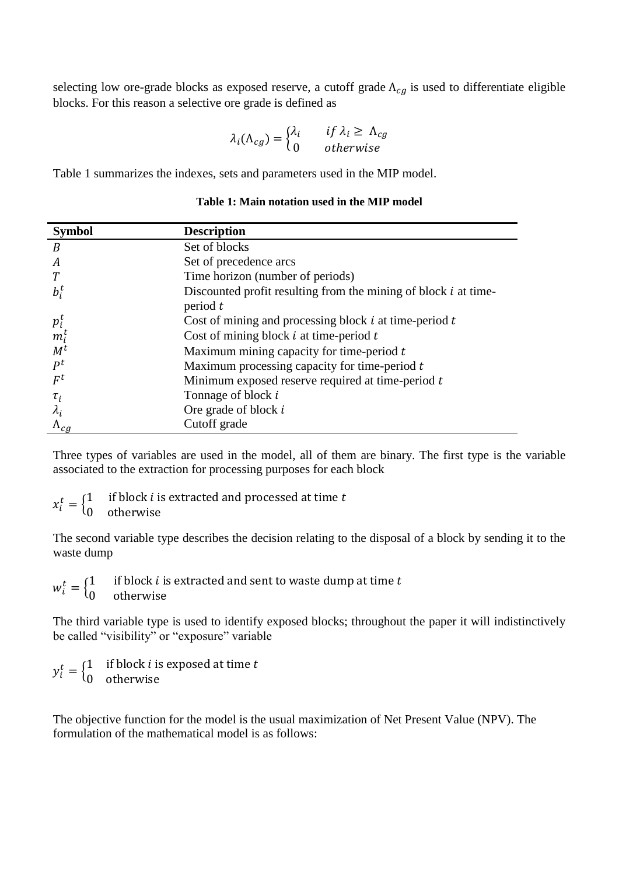selecting low ore-grade blocks as exposed reserve, a cutoff grade  $\Lambda_{cg}$  is used to differentiate eligible blocks. For this reason a selective ore grade is defined as

$$
\lambda_i(\Lambda_{cg}) = \begin{cases} \lambda_i & \text{if } \lambda_i \ge \Lambda_{cg} \\ 0 & \text{otherwise} \end{cases}
$$

Table 1 summarizes the indexes, sets and parameters used in the MIP model.

| <b>Symbol</b>                         | <b>Description</b>                                                              |
|---------------------------------------|---------------------------------------------------------------------------------|
| $\boldsymbol{B}$                      | Set of blocks                                                                   |
| A                                     | Set of precedence arcs                                                          |
|                                       | Time horizon (number of periods)                                                |
| $b_i^t$                               | Discounted profit resulting from the mining of block $i$ at time-<br>period $t$ |
|                                       | Cost of mining and processing block $i$ at time-period $t$                      |
| $p_{i}^{t}$<br>$m_{i}^{t}$<br>$M^{t}$ | Cost of mining block $i$ at time-period $t$                                     |
|                                       | Maximum mining capacity for time-period $t$                                     |
| $P^t$                                 | Maximum processing capacity for time-period $t$                                 |
| $F^t$                                 | Minimum exposed reserve required at time-period $t$                             |
| $\tau_i$                              | Tonnage of block i                                                              |
| $\lambda_i$                           | Ore grade of block $i$                                                          |
| $\Lambda_{cg}$                        | Cutoff grade                                                                    |

#### **Table 1: Main notation used in the MIP model**

Three types of variables are used in the model, all of them are binary. The first type is the variable associated to the extraction for processing purposes for each block

 $x_i^t = \begin{cases} 1 \\ 0 \end{cases}$  $\boldsymbol{0}$ 

The second variable type describes the decision relating to the disposal of a block by sending it to the waste dump

 $w_i^t = \begin{cases} 1 \\ 0 \end{cases}$  $\boldsymbol{0}$ 

The third variable type is used to identify exposed blocks; throughout the paper it will indistinctively be called "visibility" or "exposure" variable

 $y_i^t = \begin{cases} 1 \\ 0 \end{cases}$  $\boldsymbol{0}$ 

The objective function for the model is the usual maximization of Net Present Value (NPV). The formulation of the mathematical model is as follows: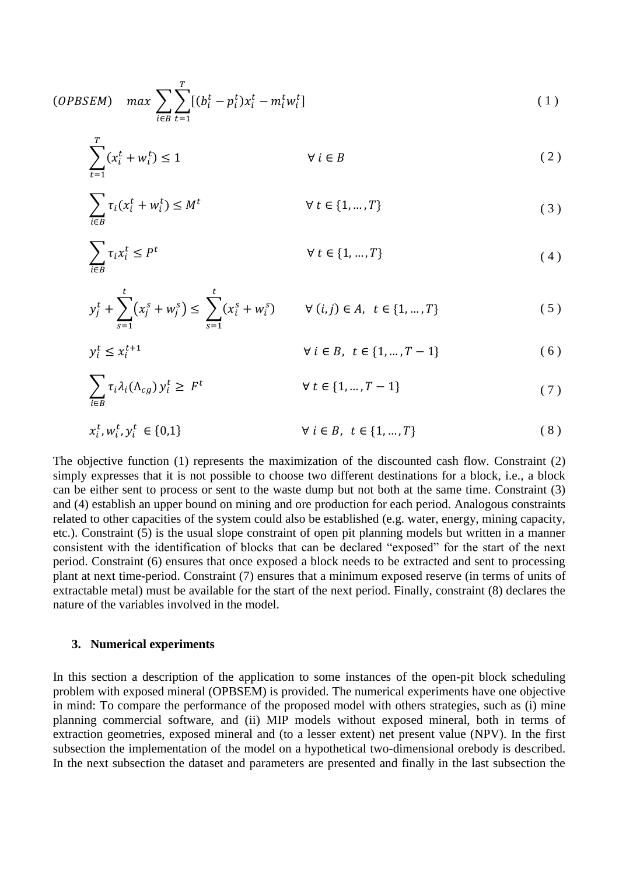(*OPBSEM*) 
$$
max \sum_{i \in B} \sum_{t=1}^{T} [(b_i^t - p_i^t) x_i^t - m_i^t w_i^t]
$$
 (1)

$$
\sum_{t=1}^{T} (x_i^t + w_i^t) \le 1 \qquad \forall \ i \in B
$$
 (2)

$$
\sum_{i \in B} \tau_i (x_i^t + w_i^t) \le M^t \qquad \forall t \in \{1, ..., T\}
$$
\n(3)

$$
\sum_{i \in B} \tau_i x_i^t \le P^t \qquad \qquad \forall \ t \in \{1, ..., T\} \tag{4}
$$

$$
y_j^t + \sum_{s=1}^t (x_j^s + w_j^s) \le \sum_{s=1}^t (x_i^s + w_i^s) \qquad \forall (i, j) \in A, \ t \in \{1, ..., T\}
$$
 (5)

$$
y_i^t \le x_i^{t+1} \qquad \qquad \forall \ i \in B, \ t \in \{1, ..., T-1\} \tag{6}
$$

$$
\sum_{i \in B} \tau_i \lambda_i (\Lambda_{cg}) y_i^t \ge F^t \qquad \forall t \in \{1, ..., T - 1\}
$$
 (7)

$$
x_i^t, w_i^t, y_i^t \in \{0, 1\} \qquad \forall \ i \in B, \ t \in \{1, ..., T\} \tag{8}
$$

The objective function (1) represents the maximization of the discounted cash flow. Constraint (2) simply expresses that it is not possible to choose two different destinations for a block, i.e., a block can be either sent to process or sent to the waste dump but not both at the same time. Constraint (3) and (4) establish an upper bound on mining and ore production for each period. Analogous constraints related to other capacities of the system could also be established (e.g. water, energy, mining capacity, etc.). Constraint (5) is the usual slope constraint of open pit planning models but written in a manner consistent with the identification of blocks that can be declared "exposed" for the start of the next period. Constraint (6) ensures that once exposed a block needs to be extracted and sent to processing plant at next time-period. Constraint (7) ensures that a minimum exposed reserve (in terms of units of extractable metal) must be available for the start of the next period. Finally, constraint (8) declares the nature of the variables involved in the model.

#### **3. Numerical experiments**

In this section a description of the application to some instances of the open-pit block scheduling problem with exposed mineral (OPBSEM) is provided. The numerical experiments have one objective in mind: To compare the performance of the proposed model with others strategies, such as (i) mine planning commercial software, and (ii) MIP models without exposed mineral, both in terms of extraction geometries, exposed mineral and (to a lesser extent) net present value (NPV). In the first subsection the implementation of the model on a hypothetical two-dimensional orebody is described. In the next subsection the dataset and parameters are presented and finally in the last subsection the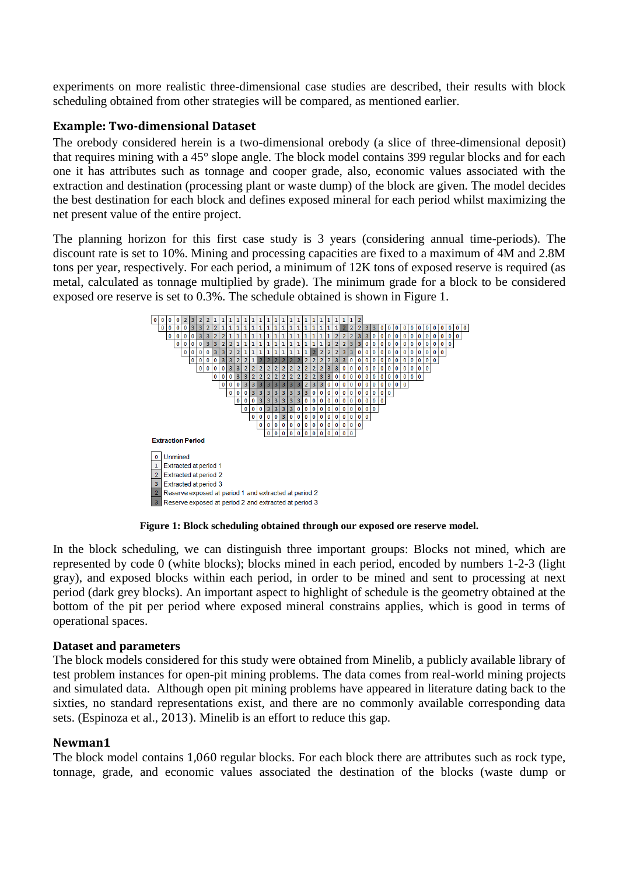experiments on more realistic three-dimensional case studies are described, their results with block scheduling obtained from other strategies will be compared, as mentioned earlier.

#### **Example: Two-dimensional Dataset**

The orebody considered herein is a two-dimensional orebody (a slice of three-dimensional deposit) that requires mining with a 45° slope angle. The block model contains 399 regular blocks and for each one it has attributes such as tonnage and cooper grade, also, economic values associated with the extraction and destination (processing plant or waste dump) of the block are given. The model decides the best destination for each block and defines exposed mineral for each period whilst maximizing the net present value of the entire project.

The planning horizon for this first case study is 3 years (considering annual time-periods). The discount rate is set to 10%. Mining and processing capacities are fixed to a maximum of 4M and 2.8M tons per year, respectively. For each period, a minimum of 12K tons of exposed reserve is required (as metal, calculated as tonnage multiplied by grade). The minimum grade for a block to be considered exposed ore reserve is set to 0.3%. The schedule obtained is shown in Figure 1.



**Figure 1: Block scheduling obtained through our exposed ore reserve model.**

In the block scheduling, we can distinguish three important groups: Blocks not mined, which are represented by code 0 (white blocks); blocks mined in each period, encoded by numbers 1-2-3 (light gray), and exposed blocks within each period, in order to be mined and sent to processing at next period (dark grey blocks). An important aspect to highlight of schedule is the geometry obtained at the bottom of the pit per period where exposed mineral constrains applies, which is good in terms of operational spaces.

#### **Dataset and parameters**

The block models considered for this study were obtained from Minelib, a publicly available library of test problem instances for open-pit mining problems. The data comes from real-world mining projects and simulated data. Although open pit mining problems have appeared in literature dating back to the sixties, no standard representations exist, and there are no commonly available corresponding data sets. (Espinoza et al., 2013). Minelib is an effort to reduce this gap.

#### **Newman1**

The block model contains 1.060 regular blocks. For each block there are attributes such as rock type, tonnage, grade, and economic values associated the destination of the blocks (waste dump or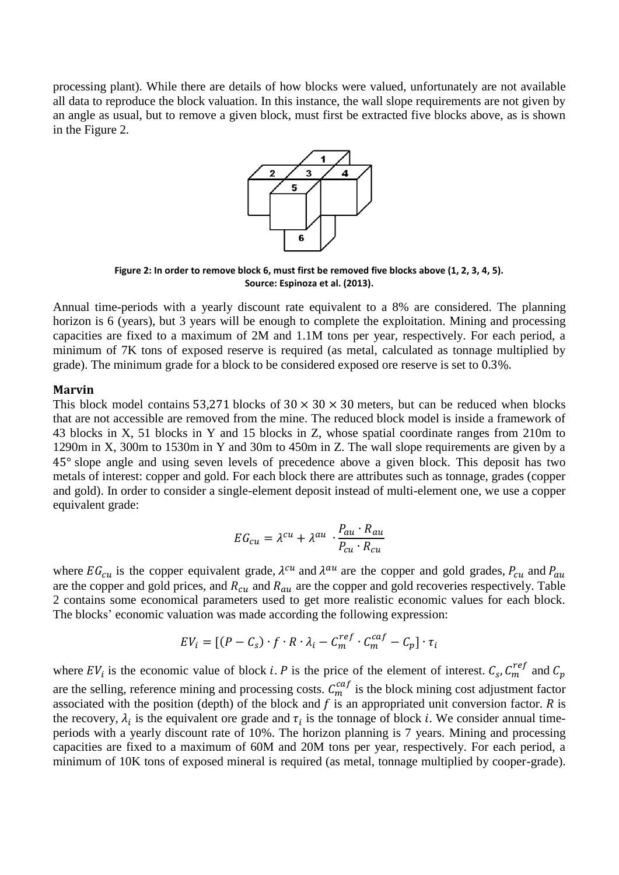processing plant). While there are details of how blocks were valued, unfortunately are not available all data to reproduce the block valuation. In this instance, the wall slope requirements are not given by an angle as usual, but to remove a given block, must first be extracted five blocks above, as is shown in the Figure 2.



**Figure 2: In order to remove block 6, must first be removed five blocks above (1, 2, 3, 4, 5). Source: Espinoza et al. (2013).**

Annual time-periods with a yearly discount rate equivalent to a 8% are considered. The planning horizon is 6 (years), but 3 years will be enough to complete the exploitation. Mining and processing capacities are fixed to a maximum of 2M and 1.1M tons per year, respectively. For each period, a minimum of 7K tons of exposed reserve is required (as metal, calculated as tonnage multiplied by grade). The minimum grade for a block to be considered exposed ore reserve is set to 0.3%.

#### **Marvin**

This block model contains 53.271 blocks of  $30 \times 30 \times 30$  meters, but can be reduced when blocks that are not accessible are removed from the mine. The reduced block model is inside a framework of 43 blocks in X, 51 blocks in Y and 15 blocks in Z, whose spatial coordinate ranges from 210m to 1290m in X, 300m to 1530m in Y and 30m to 450m in Z. The wall slope requirements are given by a 45° slope angle and using seven levels of precedence above a given block. This deposit has two metals of interest: copper and gold. For each block there are attributes such as tonnage, grades (copper and gold). In order to consider a single-element deposit instead of multi-element one, we use a copper equivalent grade:

$$
EG_{cu} = \lambda^{cu} + \lambda^{au} \cdot \frac{P_{au} \cdot R_{au}}{P_{cu} \cdot R_{cu}}
$$

where  $EG_{cu}$  is the copper equivalent grade,  $\lambda^{cu}$  and  $\lambda^{au}$  are the copper and gold grades,  $P_{cu}$  and  $P_{du}$ are the copper and gold prices, and  $R_{cu}$  and  $R_{au}$  are the copper and gold recoveries respectively. Table 2 contains some economical parameters used to get more realistic economic values for each block. The blocks' economic valuation was made according the following expression:

$$
EV_i = [(P - C_s) \cdot f \cdot R \cdot \lambda_i - C_m^{ref} \cdot C_m^{caf} - C_p] \cdot \tau_i
$$

where  $EV_i$  is the economic value of block *i*. P is the price of the element of interest.  $C_s$ ,  $C_m^{ref}$  and are the selling, reference mining and processing costs.  $C_m^{caf}$  is the block mining cost adjustment factor associated with the position (depth) of the block and  $f$  is an appropriated unit conversion factor.  $R$  is the recovery,  $\lambda_i$  is the equivalent ore grade and  $\tau_i$  is the tonnage of block *i*. We consider annual timeperiods with a yearly discount rate of 10%. The horizon planning is 7 years. Mining and processing capacities are fixed to a maximum of 60M and 20M tons per year, respectively. For each period, a minimum of 10K tons of exposed mineral is required (as metal, tonnage multiplied by cooper-grade).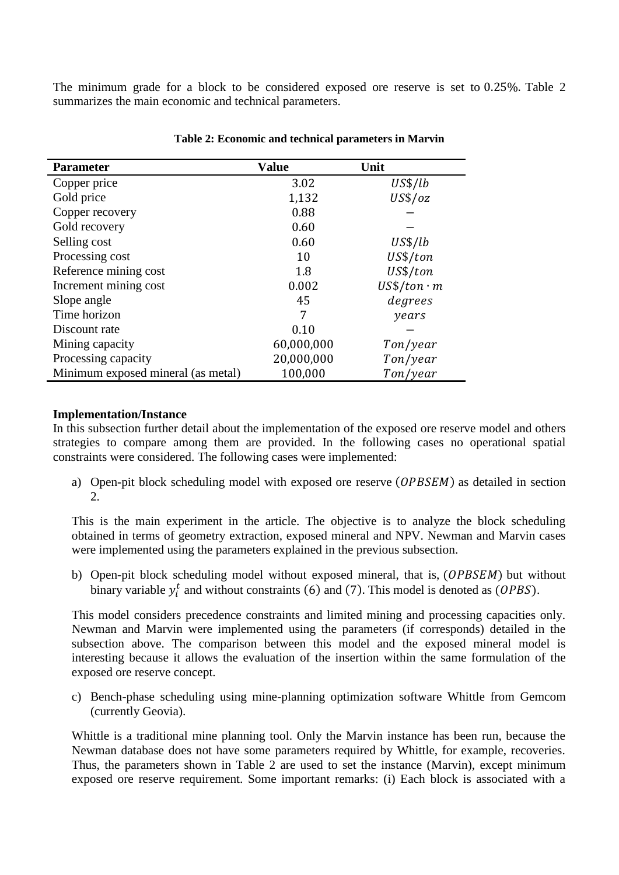The minimum grade for a block to be considered exposed ore reserve is set to  $0.25\%$ . Table 2 summarizes the main economic and technical parameters.

| <b>Parameter</b>                   | <b>Value</b> | Unit              |
|------------------------------------|--------------|-------------------|
| Copper price                       | 3.02         | US\$/lb           |
| Gold price                         | 1,132        | $US\$/oz$         |
| Copper recovery                    | 0.88         |                   |
| Gold recovery                      | 0.60         |                   |
| Selling cost                       | 0.60         | US\$/lb           |
| Processing cost                    | 10           | US\$/ton          |
| Reference mining cost              | 1.8          | US\$/ton          |
| Increment mining cost              | 0.002        | $US$/ton \cdot m$ |
| Slope angle                        | 45           | degrees           |
| Time horizon                       | 7            | years             |
| Discount rate                      | 0.10         |                   |
| Mining capacity                    | 60,000,000   | Ton/year          |
| Processing capacity                | 20,000,000   | Ton/year          |
| Minimum exposed mineral (as metal) | 100,000      | Ton/year          |

#### **Table 2: Economic and technical parameters in Marvin**

#### **Implementation/Instance**

In this subsection further detail about the implementation of the exposed ore reserve model and others strategies to compare among them are provided. In the following cases no operational spatial constraints were considered. The following cases were implemented:

a) Open-pit block scheduling model with exposed ore reserve  $(\mathit{OPBSEM})$  as detailed in section 2.

This is the main experiment in the article. The objective is to analyze the block scheduling obtained in terms of geometry extraction, exposed mineral and NPV. Newman and Marvin cases were implemented using the parameters explained in the previous subsection.

b) Open-pit block scheduling model without exposed mineral, that is, (OPBSEM) but without binary variable  $y_i^t$  and without constraints (6) and (7). This model is denoted as (*OPBS*).

This model considers precedence constraints and limited mining and processing capacities only. Newman and Marvin were implemented using the parameters (if corresponds) detailed in the subsection above. The comparison between this model and the exposed mineral model is interesting because it allows the evaluation of the insertion within the same formulation of the exposed ore reserve concept.

c) Bench-phase scheduling using mine-planning optimization software Whittle from Gemcom (currently Geovia).

Whittle is a traditional mine planning tool. Only the Marvin instance has been run, because the Newman database does not have some parameters required by Whittle, for example, recoveries. Thus, the parameters shown in Table 2 are used to set the instance (Marvin), except minimum exposed ore reserve requirement. Some important remarks: (i) Each block is associated with a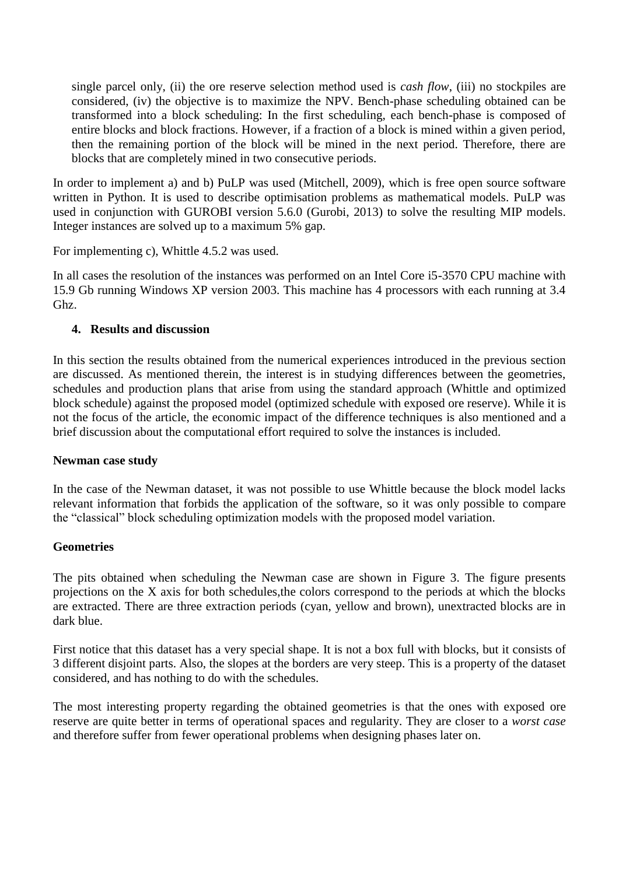single parcel only, (ii) the ore reserve selection method used is *cash flow*, (iii) no stockpiles are considered, (iv) the objective is to maximize the NPV. Bench-phase scheduling obtained can be transformed into a block scheduling: In the first scheduling, each bench-phase is composed of entire blocks and block fractions. However, if a fraction of a block is mined within a given period, then the remaining portion of the block will be mined in the next period. Therefore, there are blocks that are completely mined in two consecutive periods.

In order to implement a) and b) PuLP was used (Mitchell, 2009), which is free open source software written in Python. It is used to describe optimisation problems as mathematical models. PuLP was used in conjunction with GUROBI version 5.6.0 (Gurobi, 2013) to solve the resulting MIP models. Integer instances are solved up to a maximum 5% gap.

For implementing c), Whittle 4.5.2 was used.

In all cases the resolution of the instances was performed on an Intel Core i5-3570 CPU machine with 15.9 Gb running Windows XP version 2003. This machine has 4 processors with each running at 3.4 Ghz.

### **4. Results and discussion**

In this section the results obtained from the numerical experiences introduced in the previous section are discussed. As mentioned therein, the interest is in studying differences between the geometries, schedules and production plans that arise from using the standard approach (Whittle and optimized block schedule) against the proposed model (optimized schedule with exposed ore reserve). While it is not the focus of the article, the economic impact of the difference techniques is also mentioned and a brief discussion about the computational effort required to solve the instances is included.

#### **Newman case study**

In the case of the Newman dataset, it was not possible to use Whittle because the block model lacks relevant information that forbids the application of the software, so it was only possible to compare the "classical" block scheduling optimization models with the proposed model variation.

# **Geometries**

The pits obtained when scheduling the Newman case are shown in Figure 3. The figure presents projections on the X axis for both schedules,the colors correspond to the periods at which the blocks are extracted. There are three extraction periods (cyan, yellow and brown), unextracted blocks are in dark blue.

First notice that this dataset has a very special shape. It is not a box full with blocks, but it consists of 3 different disjoint parts. Also, the slopes at the borders are very steep. This is a property of the dataset considered, and has nothing to do with the schedules.

The most interesting property regarding the obtained geometries is that the ones with exposed ore reserve are quite better in terms of operational spaces and regularity. They are closer to a *worst case* and therefore suffer from fewer operational problems when designing phases later on.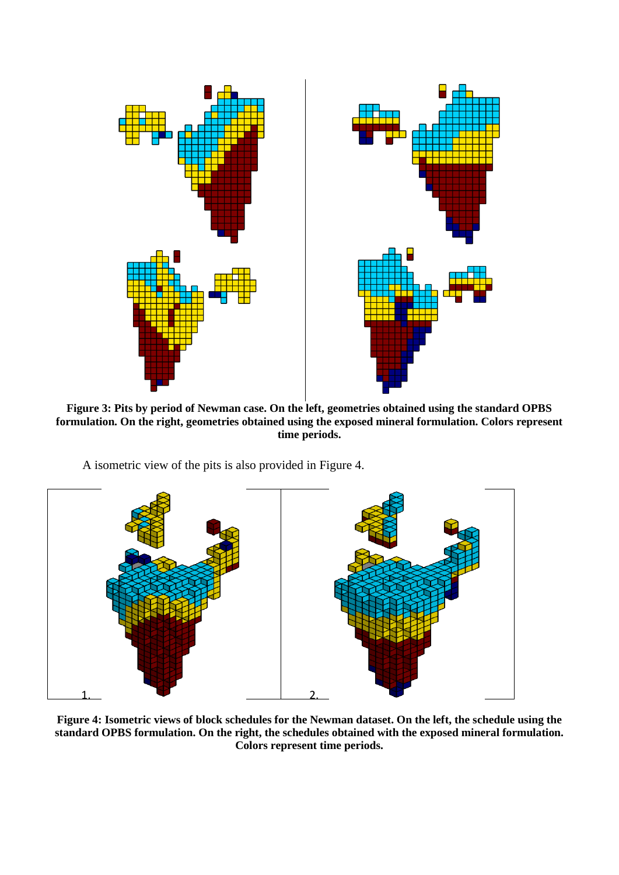

**Figure 3: Pits by period of Newman case. On the left, geometries obtained using the standard OPBS formulation. On the right, geometries obtained using the exposed mineral formulation. Colors represent time periods.**

A isometric view of the pits is also provided in Figure 4.



**Figure 4: Isometric views of block schedules for the Newman dataset. On the left, the schedule using the standard OPBS formulation. On the right, the schedules obtained with the exposed mineral formulation. Colors represent time periods.**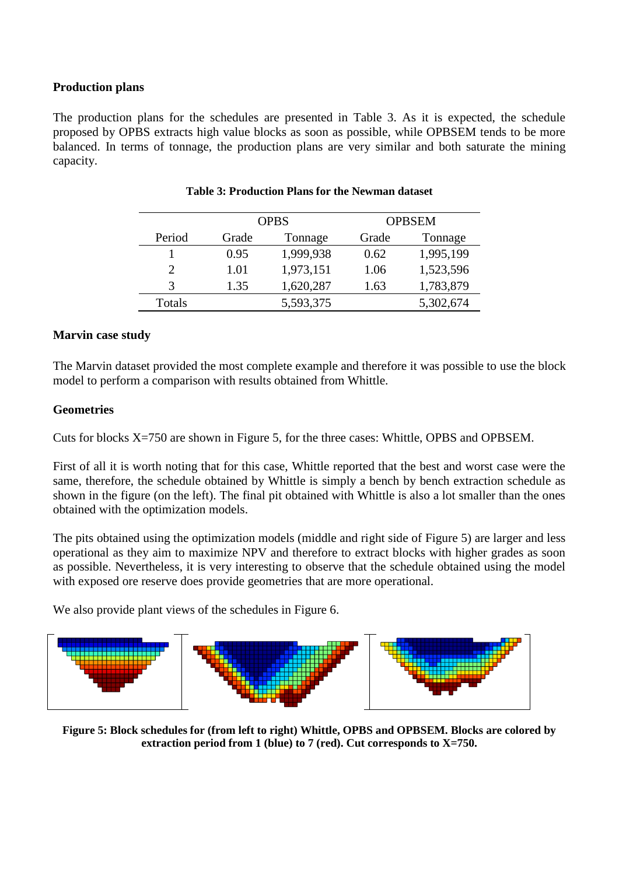# **Production plans**

The production plans for the schedules are presented in Table 3. As it is expected, the schedule proposed by OPBS extracts high value blocks as soon as possible, while OPBSEM tends to be more balanced. In terms of tonnage, the production plans are very similar and both saturate the mining capacity.

|        | <b>OPBS</b> |           | <b>OPBSEM</b> |           |
|--------|-------------|-----------|---------------|-----------|
| Period | Grade       | Tonnage   | Grade         | Tonnage   |
|        | 0.95        | 1,999,938 | 0.62          | 1,995,199 |
|        | 1.01        | 1,973,151 | 1.06          | 1,523,596 |
| 3      | 1.35        | 1,620,287 | 1.63          | 1,783,879 |
| Totals |             | 5,593,375 |               | 5,302,674 |

|  | <b>Table 3: Production Plans for the Newman dataset</b> |  |  |  |
|--|---------------------------------------------------------|--|--|--|
|  |                                                         |  |  |  |

### **Marvin case study**

The Marvin dataset provided the most complete example and therefore it was possible to use the block model to perform a comparison with results obtained from Whittle.

# **Geometries**

Cuts for blocks X=750 are shown in Figure 5, for the three cases: Whittle, OPBS and OPBSEM.

First of all it is worth noting that for this case, Whittle reported that the best and worst case were the same, therefore, the schedule obtained by Whittle is simply a bench by bench extraction schedule as shown in the figure (on the left). The final pit obtained with Whittle is also a lot smaller than the ones obtained with the optimization models.

The pits obtained using the optimization models (middle and right side of Figure 5) are larger and less operational as they aim to maximize NPV and therefore to extract blocks with higher grades as soon as possible. Nevertheless, it is very interesting to observe that the schedule obtained using the model with exposed ore reserve does provide geometries that are more operational.

We also provide plant views of the schedules in Figure 6.



**Figure 5: Block schedules for (from left to right) Whittle, OPBS and OPBSEM. Blocks are colored by extraction period from 1 (blue) to 7 (red). Cut corresponds to X=750.**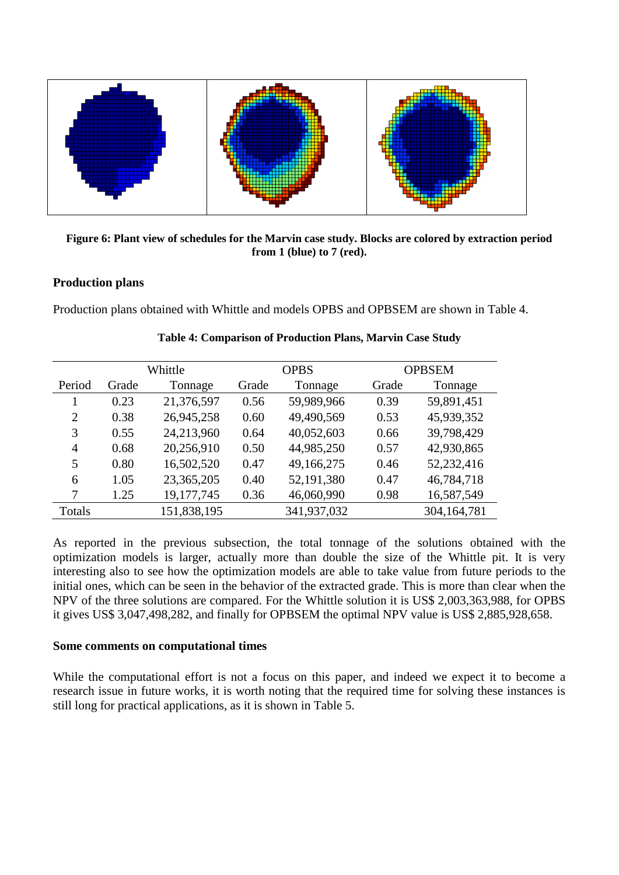

**Figure 6: Plant view of schedules for the Marvin case study. Blocks are colored by extraction period from 1 (blue) to 7 (red).**

#### **Production plans**

Production plans obtained with Whittle and models OPBS and OPBSEM are shown in Table 4.

|        | Whittle |             | <b>OPBS</b> |             | <b>OPBSEM</b> |             |
|--------|---------|-------------|-------------|-------------|---------------|-------------|
| Period | Grade   | Tonnage     | Grade       | Tonnage     | Grade         | Tonnage     |
|        | 0.23    | 21,376,597  | 0.56        | 59,989,966  | 0.39          | 59,891,451  |
| 2      | 0.38    | 26,945,258  | 0.60        | 49,490,569  | 0.53          | 45,939,352  |
| 3      | 0.55    | 24,213,960  | 0.64        | 40,052,603  | 0.66          | 39,798,429  |
| 4      | 0.68    | 20,256,910  | 0.50        | 44,985,250  | 0.57          | 42,930,865  |
| 5      | 0.80    | 16,502,520  | 0.47        | 49,166,275  | 0.46          | 52,232,416  |
| 6      | 1.05    | 23,365,205  | 0.40        | 52,191,380  | 0.47          | 46,784,718  |
| 7      | 1.25    | 19,177,745  | 0.36        | 46,060,990  | 0.98          | 16,587,549  |
| Totals |         | 151,838,195 |             | 341,937,032 |               | 304,164,781 |

|  |  |  | Table 4: Comparison of Production Plans, Marvin Case Study |  |
|--|--|--|------------------------------------------------------------|--|
|--|--|--|------------------------------------------------------------|--|

As reported in the previous subsection, the total tonnage of the solutions obtained with the optimization models is larger, actually more than double the size of the Whittle pit. It is very interesting also to see how the optimization models are able to take value from future periods to the initial ones, which can be seen in the behavior of the extracted grade. This is more than clear when the NPV of the three solutions are compared. For the Whittle solution it is US\$ 2,003,363,988, for OPBS it gives US\$ 3,047,498,282, and finally for OPBSEM the optimal NPV value is US\$ 2,885,928,658.

#### **Some comments on computational times**

While the computational effort is not a focus on this paper, and indeed we expect it to become a research issue in future works, it is worth noting that the required time for solving these instances is still long for practical applications, as it is shown in Table 5.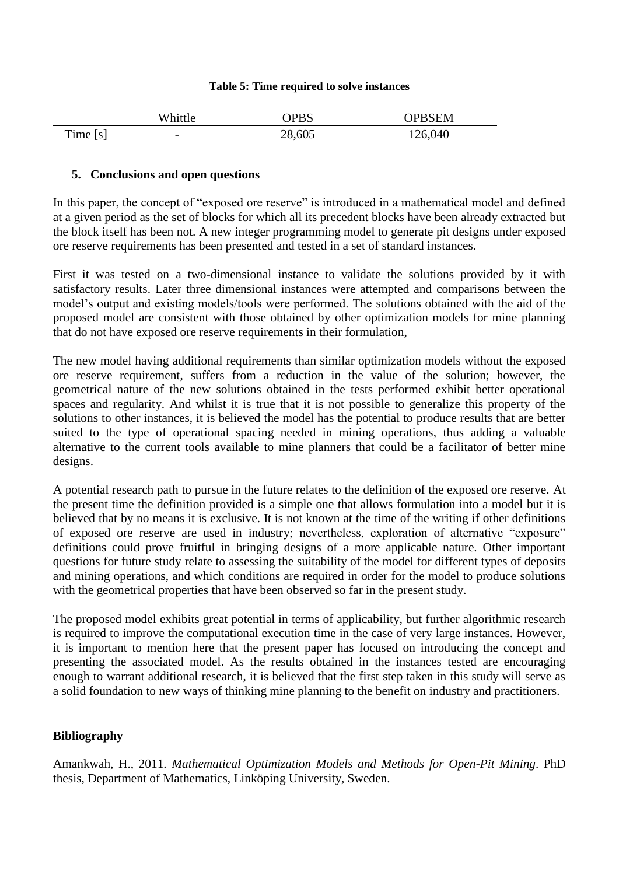#### **Table 5: Time required to solve instances**

|            | Whittle                  | <b>IDRS</b> | <b>PBSEM</b> |
|------------|--------------------------|-------------|--------------|
| m<br>f ime | $\overline{\phantom{0}}$ | 28,605      | 126,040      |

#### **5. Conclusions and open questions**

In this paper, the concept of "exposed ore reserve" is introduced in a mathematical model and defined at a given period as the set of blocks for which all its precedent blocks have been already extracted but the block itself has been not. A new integer programming model to generate pit designs under exposed ore reserve requirements has been presented and tested in a set of standard instances.

First it was tested on a two-dimensional instance to validate the solutions provided by it with satisfactory results. Later three dimensional instances were attempted and comparisons between the model's output and existing models/tools were performed. The solutions obtained with the aid of the proposed model are consistent with those obtained by other optimization models for mine planning that do not have exposed ore reserve requirements in their formulation,

The new model having additional requirements than similar optimization models without the exposed ore reserve requirement, suffers from a reduction in the value of the solution; however, the geometrical nature of the new solutions obtained in the tests performed exhibit better operational spaces and regularity. And whilst it is true that it is not possible to generalize this property of the solutions to other instances, it is believed the model has the potential to produce results that are better suited to the type of operational spacing needed in mining operations, thus adding a valuable alternative to the current tools available to mine planners that could be a facilitator of better mine designs.

A potential research path to pursue in the future relates to the definition of the exposed ore reserve. At the present time the definition provided is a simple one that allows formulation into a model but it is believed that by no means it is exclusive. It is not known at the time of the writing if other definitions of exposed ore reserve are used in industry; nevertheless, exploration of alternative "exposure" definitions could prove fruitful in bringing designs of a more applicable nature. Other important questions for future study relate to assessing the suitability of the model for different types of deposits and mining operations, and which conditions are required in order for the model to produce solutions with the geometrical properties that have been observed so far in the present study.

The proposed model exhibits great potential in terms of applicability, but further algorithmic research is required to improve the computational execution time in the case of very large instances. However, it is important to mention here that the present paper has focused on introducing the concept and presenting the associated model. As the results obtained in the instances tested are encouraging enough to warrant additional research, it is believed that the first step taken in this study will serve as a solid foundation to new ways of thinking mine planning to the benefit on industry and practitioners.

# **Bibliography**

Amankwah, H., 2011. *Mathematical Optimization Models and Methods for Open-Pit Mining*. PhD thesis, Department of Mathematics, Linköping University, Sweden.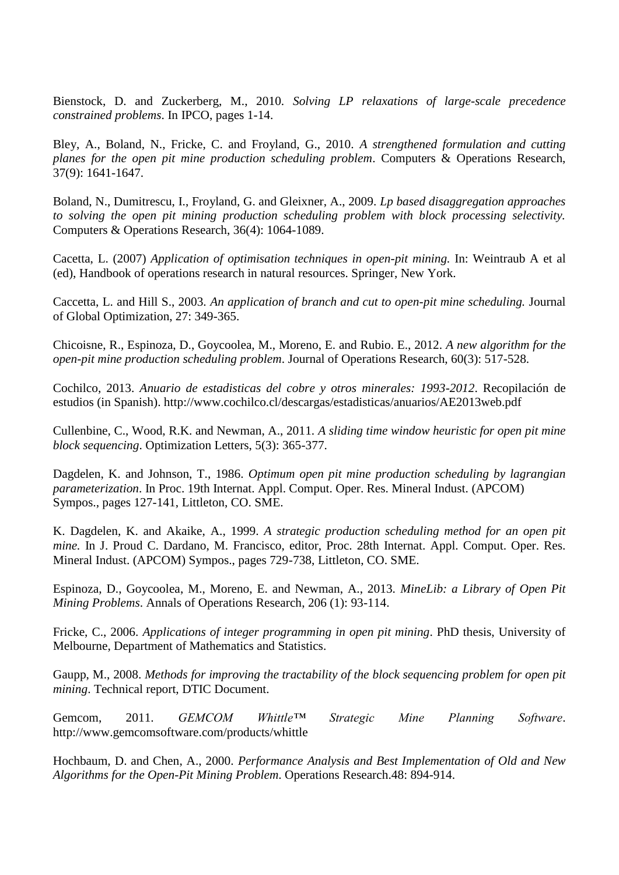Bienstock, D. and Zuckerberg, M., 2010. *Solving LP relaxations of large-scale precedence constrained problems*. In IPCO, pages 1-14.

Bley, A., Boland, N., Fricke, C. and Froyland, G., 2010. *A strengthened formulation and cutting planes for the open pit mine production scheduling problem*. Computers & Operations Research, 37(9): 1641-1647.

Boland, N., Dumitrescu, I., Froyland, G. and Gleixner, A., 2009. *Lp based disaggregation approaches to solving the open pit mining production scheduling problem with block processing selectivity.* Computers & Operations Research, 36(4): 1064-1089.

Cacetta, L. (2007) *Application of optimisation techniques in open-pit mining.* In: Weintraub A et al (ed), Handbook of operations research in natural resources. Springer, New York.

Caccetta, L. and Hill S., 2003. *An application of branch and cut to open-pit mine scheduling.* Journal of Global Optimization, 27: 349-365.

Chicoisne, R., Espinoza, D., Goycoolea, M., Moreno, E. and Rubio. E., 2012. *A new algorithm for the open-pit mine production scheduling problem*. Journal of Operations Research, 60(3): 517-528.

Cochilco, 2013. *Anuario de estadisticas del cobre y otros minerales: 1993-2012*. Recopilación de estudios (in Spanish). http://www.cochilco.cl/descargas/estadisticas/anuarios/AE2013web.pdf

Cullenbine, C., Wood, R.K. and Newman, A., 2011. *A sliding time window heuristic for open pit mine block sequencing*. Optimization Letters, 5(3): 365-377.

Dagdelen, K. and Johnson, T., 1986. *Optimum open pit mine production scheduling by lagrangian parameterization*. In Proc. 19th Internat. Appl. Comput. Oper. Res. Mineral Indust. (APCOM) Sympos., pages 127-141, Littleton, CO. SME.

K. Dagdelen, K. and Akaike, A., 1999. *A strategic production scheduling method for an open pit mine.* In J. Proud C. Dardano, M. Francisco, editor, Proc. 28th Internat. Appl. Comput. Oper. Res. Mineral Indust. (APCOM) Sympos., pages 729-738, Littleton, CO. SME.

Espinoza, D., Goycoolea, M., Moreno, E. and Newman, A., 2013. *MineLib: a Library of Open Pit Mining Problems*. Annals of Operations Research, 206 (1): 93-114.

Fricke, C., 2006. *Applications of integer programming in open pit mining*. PhD thesis, University of Melbourne, Department of Mathematics and Statistics.

Gaupp, M., 2008. *Methods for improving the tractability of the block sequencing problem for open pit mining*. Technical report, DTIC Document.

Gemcom, 2011. *GEMCOM Whittle™ Strategic Mine Planning Software*. http://www.gemcomsoftware.com/products/whittle

Hochbaum, D. and Chen, A., 2000. *Performance Analysis and Best Implementation of Old and New Algorithms for the Open-Pit Mining Problem*. Operations Research.48: 894-914.